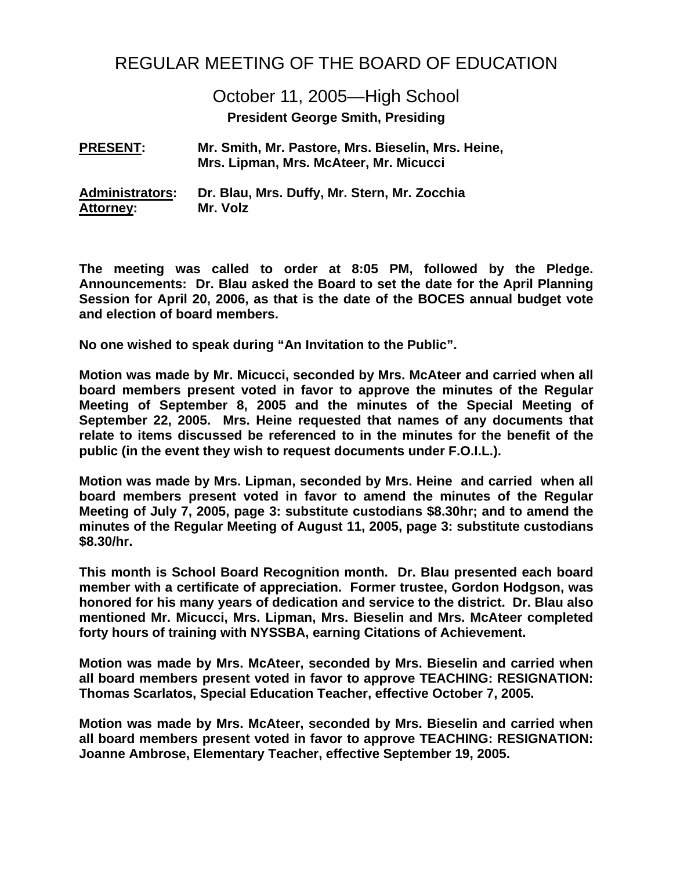# REGULAR MEETING OF THE BOARD OF EDUCATION

October 11, 2005—High School

**President George Smith, Presiding** 

**PRESENT: Mr. Smith, Mr. Pastore, Mrs. Bieselin, Mrs. Heine, Mrs. Lipman, Mrs. McAteer, Mr. Micucci**

**Administrators: Dr. Blau, Mrs. Duffy, Mr. Stern, Mr. Zocchia Attorney: Mr. Volz** 

**The meeting was called to order at 8:05 PM, followed by the Pledge. Announcements: Dr. Blau asked the Board to set the date for the April Planning Session for April 20, 2006, as that is the date of the BOCES annual budget vote and election of board members.** 

**No one wished to speak during "An Invitation to the Public".** 

**Motion was made by Mr. Micucci, seconded by Mrs. McAteer and carried when all board members present voted in favor to approve the minutes of the Regular Meeting of September 8, 2005 and the minutes of the Special Meeting of September 22, 2005. Mrs. Heine requested that names of any documents that relate to items discussed be referenced to in the minutes for the benefit of the public (in the event they wish to request documents under F.O.I.L.).** 

**Motion was made by Mrs. Lipman, seconded by Mrs. Heine and carried when all board members present voted in favor to amend the minutes of the Regular Meeting of July 7, 2005, page 3: substitute custodians \$8.30hr; and to amend the minutes of the Regular Meeting of August 11, 2005, page 3: substitute custodians \$8.30/hr.** 

**This month is School Board Recognition month. Dr. Blau presented each board member with a certificate of appreciation. Former trustee, Gordon Hodgson, was honored for his many years of dedication and service to the district. Dr. Blau also mentioned Mr. Micucci, Mrs. Lipman, Mrs. Bieselin and Mrs. McAteer completed forty hours of training with NYSSBA, earning Citations of Achievement.** 

**Motion was made by Mrs. McAteer, seconded by Mrs. Bieselin and carried when all board members present voted in favor to approve TEACHING: RESIGNATION: Thomas Scarlatos, Special Education Teacher, effective October 7, 2005.** 

**Motion was made by Mrs. McAteer, seconded by Mrs. Bieselin and carried when all board members present voted in favor to approve TEACHING: RESIGNATION: Joanne Ambrose, Elementary Teacher, effective September 19, 2005.**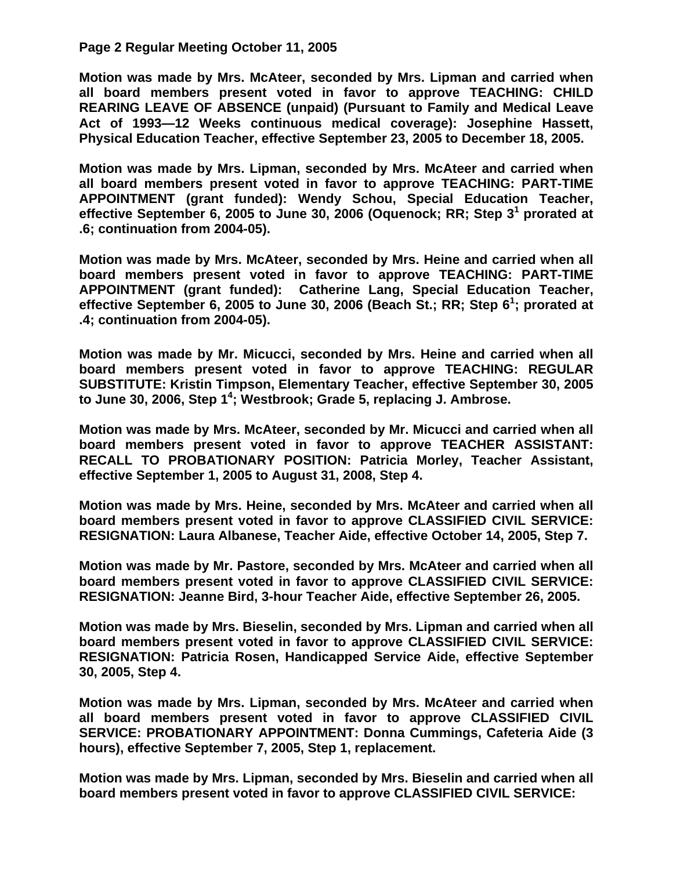## **Page 2 Regular Meeting October 11, 2005**

**Motion was made by Mrs. McAteer, seconded by Mrs. Lipman and carried when all board members present voted in favor to approve TEACHING: CHILD REARING LEAVE OF ABSENCE (unpaid) (Pursuant to Family and Medical Leave Act of 1993—12 Weeks continuous medical coverage): Josephine Hassett, Physical Education Teacher, effective September 23, 2005 to December 18, 2005.** 

**Motion was made by Mrs. Lipman, seconded by Mrs. McAteer and carried when all board members present voted in favor to approve TEACHING: PART-TIME APPOINTMENT (grant funded): Wendy Schou, Special Education Teacher, effective September 6, 2005 to June 30, 2006 (Oquenock; RR; Step 31 prorated at .6; continuation from 2004-05).** 

**Motion was made by Mrs. McAteer, seconded by Mrs. Heine and carried when all board members present voted in favor to approve TEACHING: PART-TIME APPOINTMENT (grant funded): Catherine Lang, Special Education Teacher, effective September 6, 2005 to June 30, 2006 (Beach St.; RR; Step 6<sup>1</sup> ; prorated at .4; continuation from 2004-05).** 

**Motion was made by Mr. Micucci, seconded by Mrs. Heine and carried when all board members present voted in favor to approve TEACHING: REGULAR SUBSTITUTE: Kristin Timpson, Elementary Teacher, effective September 30, 2005 to June 30, 2006, Step 14 ; Westbrook; Grade 5, replacing J. Ambrose.** 

**Motion was made by Mrs. McAteer, seconded by Mr. Micucci and carried when all board members present voted in favor to approve TEACHER ASSISTANT: RECALL TO PROBATIONARY POSITION: Patricia Morley, Teacher Assistant, effective September 1, 2005 to August 31, 2008, Step 4.** 

**Motion was made by Mrs. Heine, seconded by Mrs. McAteer and carried when all board members present voted in favor to approve CLASSIFIED CIVIL SERVICE: RESIGNATION: Laura Albanese, Teacher Aide, effective October 14, 2005, Step 7.** 

**Motion was made by Mr. Pastore, seconded by Mrs. McAteer and carried when all board members present voted in favor to approve CLASSIFIED CIVIL SERVICE: RESIGNATION: Jeanne Bird, 3-hour Teacher Aide, effective September 26, 2005.** 

**Motion was made by Mrs. Bieselin, seconded by Mrs. Lipman and carried when all board members present voted in favor to approve CLASSIFIED CIVIL SERVICE: RESIGNATION: Patricia Rosen, Handicapped Service Aide, effective September 30, 2005, Step 4.** 

**Motion was made by Mrs. Lipman, seconded by Mrs. McAteer and carried when all board members present voted in favor to approve CLASSIFIED CIVIL SERVICE: PROBATIONARY APPOINTMENT: Donna Cummings, Cafeteria Aide (3 hours), effective September 7, 2005, Step 1, replacement.** 

**Motion was made by Mrs. Lipman, seconded by Mrs. Bieselin and carried when all board members present voted in favor to approve CLASSIFIED CIVIL SERVICE:**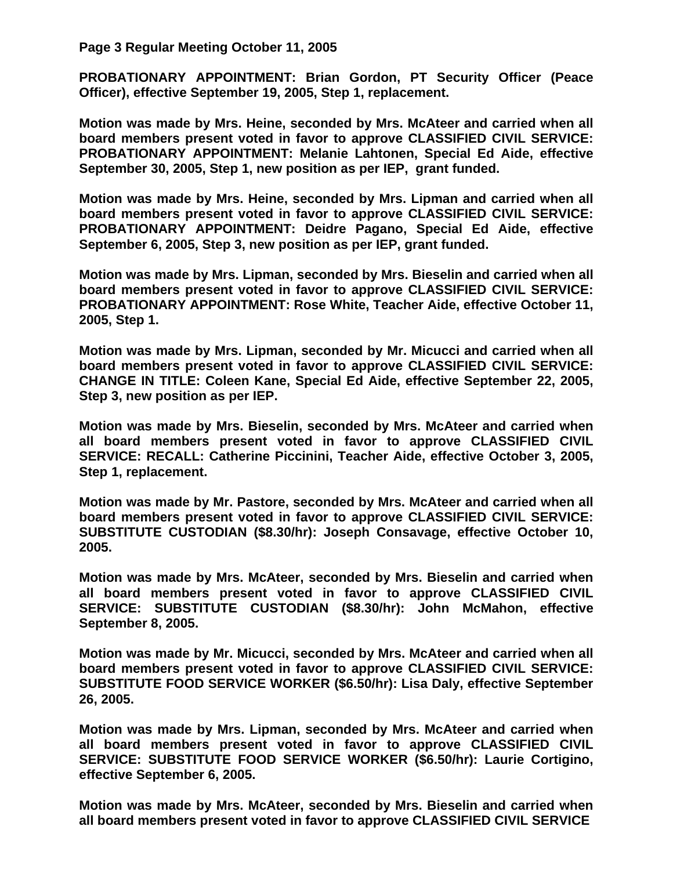**Page 3 Regular Meeting October 11, 2005** 

**PROBATIONARY APPOINTMENT: Brian Gordon, PT Security Officer (Peace Officer), effective September 19, 2005, Step 1, replacement.** 

**Motion was made by Mrs. Heine, seconded by Mrs. McAteer and carried when all board members present voted in favor to approve CLASSIFIED CIVIL SERVICE: PROBATIONARY APPOINTMENT: Melanie Lahtonen, Special Ed Aide, effective September 30, 2005, Step 1, new position as per IEP, grant funded.** 

**Motion was made by Mrs. Heine, seconded by Mrs. Lipman and carried when all board members present voted in favor to approve CLASSIFIED CIVIL SERVICE: PROBATIONARY APPOINTMENT: Deidre Pagano, Special Ed Aide, effective September 6, 2005, Step 3, new position as per IEP, grant funded.** 

**Motion was made by Mrs. Lipman, seconded by Mrs. Bieselin and carried when all board members present voted in favor to approve CLASSIFIED CIVIL SERVICE: PROBATIONARY APPOINTMENT: Rose White, Teacher Aide, effective October 11, 2005, Step 1.** 

**Motion was made by Mrs. Lipman, seconded by Mr. Micucci and carried when all board members present voted in favor to approve CLASSIFIED CIVIL SERVICE: CHANGE IN TITLE: Coleen Kane, Special Ed Aide, effective September 22, 2005, Step 3, new position as per IEP.** 

**Motion was made by Mrs. Bieselin, seconded by Mrs. McAteer and carried when all board members present voted in favor to approve CLASSIFIED CIVIL SERVICE: RECALL: Catherine Piccinini, Teacher Aide, effective October 3, 2005, Step 1, replacement.** 

**Motion was made by Mr. Pastore, seconded by Mrs. McAteer and carried when all board members present voted in favor to approve CLASSIFIED CIVIL SERVICE: SUBSTITUTE CUSTODIAN (\$8.30/hr): Joseph Consavage, effective October 10, 2005.** 

**Motion was made by Mrs. McAteer, seconded by Mrs. Bieselin and carried when all board members present voted in favor to approve CLASSIFIED CIVIL SERVICE: SUBSTITUTE CUSTODIAN (\$8.30/hr): John McMahon, effective September 8, 2005.** 

**Motion was made by Mr. Micucci, seconded by Mrs. McAteer and carried when all board members present voted in favor to approve CLASSIFIED CIVIL SERVICE: SUBSTITUTE FOOD SERVICE WORKER (\$6.50/hr): Lisa Daly, effective September 26, 2005.** 

**Motion was made by Mrs. Lipman, seconded by Mrs. McAteer and carried when all board members present voted in favor to approve CLASSIFIED CIVIL SERVICE: SUBSTITUTE FOOD SERVICE WORKER (\$6.50/hr): Laurie Cortigino, effective September 6, 2005.** 

**Motion was made by Mrs. McAteer, seconded by Mrs. Bieselin and carried when all board members present voted in favor to approve CLASSIFIED CIVIL SERVICE**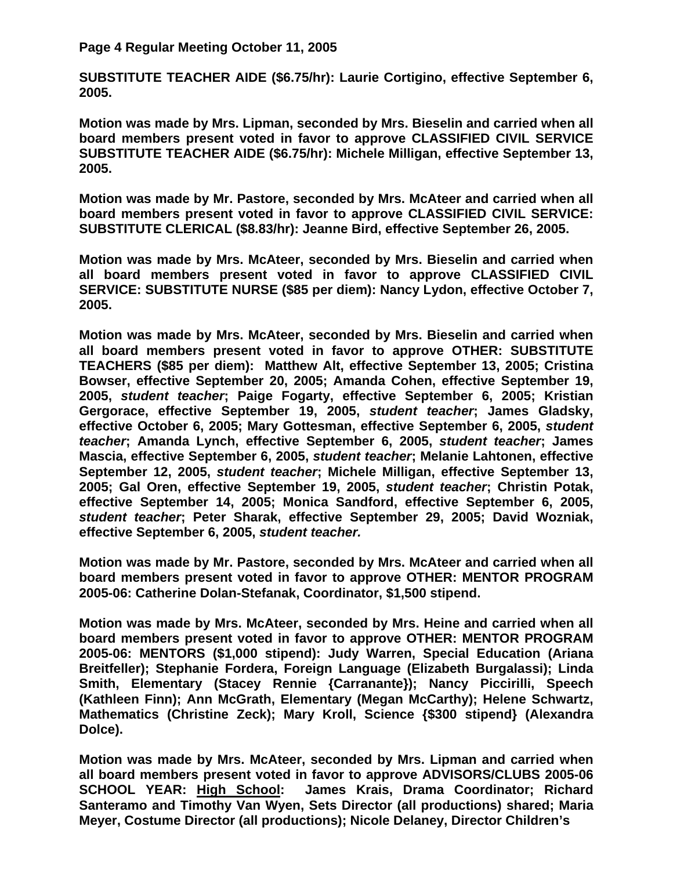## **Page 4 Regular Meeting October 11, 2005**

**SUBSTITUTE TEACHER AIDE (\$6.75/hr): Laurie Cortigino, effective September 6, 2005.** 

**Motion was made by Mrs. Lipman, seconded by Mrs. Bieselin and carried when all board members present voted in favor to approve CLASSIFIED CIVIL SERVICE SUBSTITUTE TEACHER AIDE (\$6.75/hr): Michele Milligan, effective September 13, 2005.** 

**Motion was made by Mr. Pastore, seconded by Mrs. McAteer and carried when all board members present voted in favor to approve CLASSIFIED CIVIL SERVICE: SUBSTITUTE CLERICAL (\$8.83/hr): Jeanne Bird, effective September 26, 2005.** 

**Motion was made by Mrs. McAteer, seconded by Mrs. Bieselin and carried when all board members present voted in favor to approve CLASSIFIED CIVIL SERVICE: SUBSTITUTE NURSE (\$85 per diem): Nancy Lydon, effective October 7, 2005.** 

**Motion was made by Mrs. McAteer, seconded by Mrs. Bieselin and carried when all board members present voted in favor to approve OTHER: SUBSTITUTE TEACHERS (\$85 per diem): Matthew Alt, effective September 13, 2005; Cristina Bowser, effective September 20, 2005; Amanda Cohen, effective September 19, 2005,** *student teacher***; Paige Fogarty, effective September 6, 2005; Kristian Gergorace, effective September 19, 2005,** *student teacher***; James Gladsky, effective October 6, 2005; Mary Gottesman, effective September 6, 2005,** *student teacher***; Amanda Lynch, effective September 6, 2005,** *student teacher***; James Mascia, effective September 6, 2005,** *student teacher***; Melanie Lahtonen, effective September 12, 2005,** *student teacher***; Michele Milligan, effective September 13, 2005; Gal Oren, effective September 19, 2005,** *student teacher***; Christin Potak, effective September 14, 2005; Monica Sandford, effective September 6, 2005,**  *student teacher***; Peter Sharak, effective September 29, 2005; David Wozniak, effective September 6, 2005,** *student teacher.* 

**Motion was made by Mr. Pastore, seconded by Mrs. McAteer and carried when all board members present voted in favor to approve OTHER: MENTOR PROGRAM 2005-06: Catherine Dolan-Stefanak, Coordinator, \$1,500 stipend.** 

**Motion was made by Mrs. McAteer, seconded by Mrs. Heine and carried when all board members present voted in favor to approve OTHER: MENTOR PROGRAM 2005-06: MENTORS (\$1,000 stipend): Judy Warren, Special Education (Ariana Breitfeller); Stephanie Fordera, Foreign Language (Elizabeth Burgalassi); Linda Smith, Elementary (Stacey Rennie {Carranante}); Nancy Piccirilli, Speech (Kathleen Finn); Ann McGrath, Elementary (Megan McCarthy); Helene Schwartz, Mathematics (Christine Zeck); Mary Kroll, Science {\$300 stipend} (Alexandra Dolce).** 

**Motion was made by Mrs. McAteer, seconded by Mrs. Lipman and carried when all board members present voted in favor to approve ADVISORS/CLUBS 2005-06 SCHOOL YEAR: High School: James Krais, Drama Coordinator; Richard Santeramo and Timothy Van Wyen, Sets Director (all productions) shared; Maria Meyer, Costume Director (all productions); Nicole Delaney, Director Children's**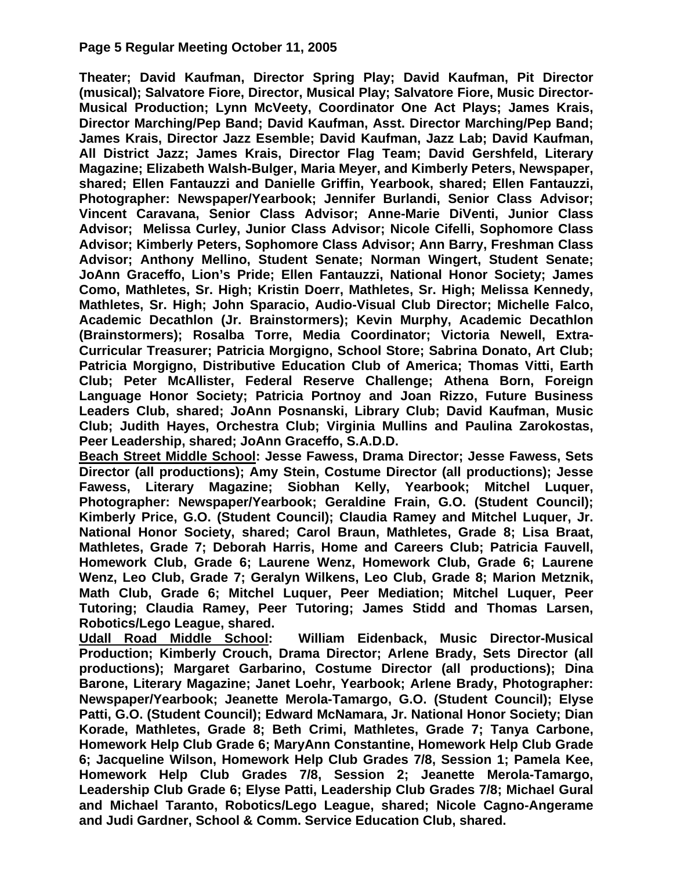## **Page 5 Regular Meeting October 11, 2005**

**Theater; David Kaufman, Director Spring Play; David Kaufman, Pit Director (musical); Salvatore Fiore, Director, Musical Play; Salvatore Fiore, Music Director-Musical Production; Lynn McVeety, Coordinator One Act Plays; James Krais, Director Marching/Pep Band; David Kaufman, Asst. Director Marching/Pep Band; James Krais, Director Jazz Esemble; David Kaufman, Jazz Lab; David Kaufman, All District Jazz; James Krais, Director Flag Team; David Gershfeld, Literary Magazine; Elizabeth Walsh-Bulger, Maria Meyer, and Kimberly Peters, Newspaper, shared; Ellen Fantauzzi and Danielle Griffin, Yearbook, shared; Ellen Fantauzzi, Photographer: Newspaper/Yearbook; Jennifer Burlandi, Senior Class Advisor; Vincent Caravana, Senior Class Advisor; Anne-Marie DiVenti, Junior Class Advisor; Melissa Curley, Junior Class Advisor; Nicole Cifelli, Sophomore Class Advisor; Kimberly Peters, Sophomore Class Advisor; Ann Barry, Freshman Class Advisor; Anthony Mellino, Student Senate; Norman Wingert, Student Senate; JoAnn Graceffo, Lion's Pride; Ellen Fantauzzi, National Honor Society; James Como, Mathletes, Sr. High; Kristin Doerr, Mathletes, Sr. High; Melissa Kennedy, Mathletes, Sr. High; John Sparacio, Audio-Visual Club Director; Michelle Falco, Academic Decathlon (Jr. Brainstormers); Kevin Murphy, Academic Decathlon (Brainstormers); Rosalba Torre, Media Coordinator; Victoria Newell, Extra-Curricular Treasurer; Patricia Morgigno, School Store; Sabrina Donato, Art Club; Patricia Morgigno, Distributive Education Club of America; Thomas Vitti, Earth Club; Peter McAllister, Federal Reserve Challenge; Athena Born, Foreign Language Honor Society; Patricia Portnoy and Joan Rizzo, Future Business Leaders Club, shared; JoAnn Posnanski, Library Club; David Kaufman, Music Club; Judith Hayes, Orchestra Club; Virginia Mullins and Paulina Zarokostas, Peer Leadership, shared; JoAnn Graceffo, S.A.D.D.** 

**Beach Street Middle School: Jesse Fawess, Drama Director; Jesse Fawess, Sets Director (all productions); Amy Stein, Costume Director (all productions); Jesse Fawess, Literary Magazine; Siobhan Kelly, Yearbook; Mitchel Luquer, Photographer: Newspaper/Yearbook; Geraldine Frain, G.O. (Student Council); Kimberly Price, G.O. (Student Council); Claudia Ramey and Mitchel Luquer, Jr. National Honor Society, shared; Carol Braun, Mathletes, Grade 8; Lisa Braat, Mathletes, Grade 7; Deborah Harris, Home and Careers Club; Patricia Fauvell, Homework Club, Grade 6; Laurene Wenz, Homework Club, Grade 6; Laurene Wenz, Leo Club, Grade 7; Geralyn Wilkens, Leo Club, Grade 8; Marion Metznik, Math Club, Grade 6; Mitchel Luquer, Peer Mediation; Mitchel Luquer, Peer Tutoring; Claudia Ramey, Peer Tutoring; James Stidd and Thomas Larsen,** 

**Robotics/Lego League, shared.**  William Eidenback, Music Director-Musical **Production; Kimberly Crouch, Drama Director; Arlene Brady, Sets Director (all productions); Margaret Garbarino, Costume Director (all productions); Dina Barone, Literary Magazine; Janet Loehr, Yearbook; Arlene Brady, Photographer: Newspaper/Yearbook; Jeanette Merola-Tamargo, G.O. (Student Council); Elyse Patti, G.O. (Student Council); Edward McNamara, Jr. National Honor Society; Dian Korade, Mathletes, Grade 8; Beth Crimi, Mathletes, Grade 7; Tanya Carbone, Homework Help Club Grade 6; MaryAnn Constantine, Homework Help Club Grade 6; Jacqueline Wilson, Homework Help Club Grades 7/8, Session 1; Pamela Kee, Homework Help Club Grades 7/8, Session 2; Jeanette Merola-Tamargo, Leadership Club Grade 6; Elyse Patti, Leadership Club Grades 7/8; Michael Gural and Michael Taranto, Robotics/Lego League, shared; Nicole Cagno-Angerame and Judi Gardner, School & Comm. Service Education Club, shared.**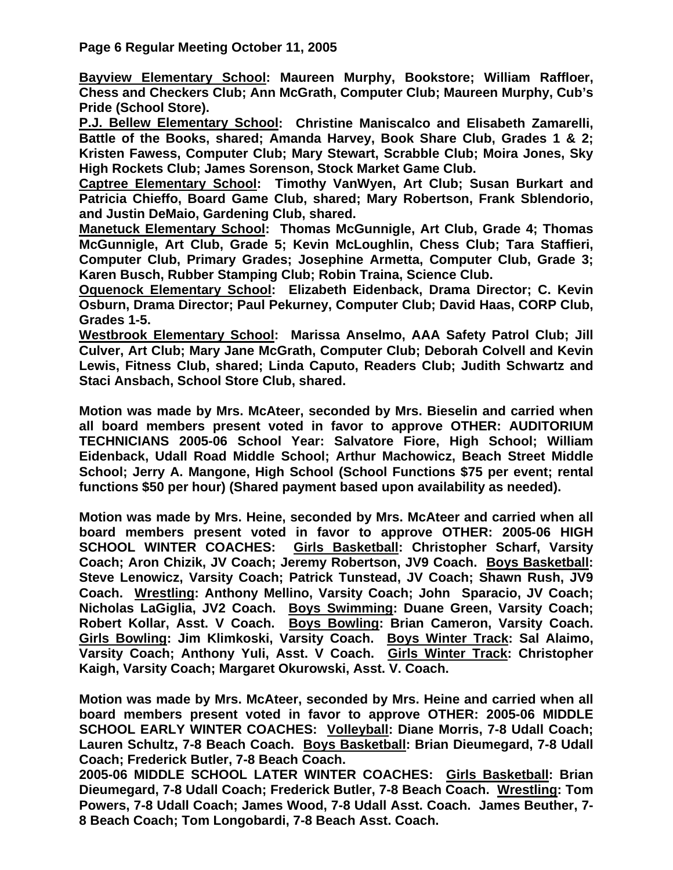**Page 6 Regular Meeting October 11, 2005** 

**Bayview Elementary School: Maureen Murphy, Bookstore; William Raffloer, Chess and Checkers Club; Ann McGrath, Computer Club; Maureen Murphy, Cub's Pride (School Store).** 

**P.J. Bellew Elementary School: Christine Maniscalco and Elisabeth Zamarelli, Battle of the Books, shared; Amanda Harvey, Book Share Club, Grades 1 & 2; Kristen Fawess, Computer Club; Mary Stewart, Scrabble Club; Moira Jones, Sky High Rockets Club; James Sorenson, Stock Market Game Club.** 

**Captree Elementary School: Timothy VanWyen, Art Club; Susan Burkart and Patricia Chieffo, Board Game Club, shared; Mary Robertson, Frank Sblendorio, and Justin DeMaio, Gardening Club, shared.** 

**Manetuck Elementary School: Thomas McGunnigle, Art Club, Grade 4; Thomas McGunnigle, Art Club, Grade 5; Kevin McLoughlin, Chess Club; Tara Staffieri, Computer Club, Primary Grades; Josephine Armetta, Computer Club, Grade 3; Karen Busch, Rubber Stamping Club; Robin Traina, Science Club.** 

**Oquenock Elementary School: Elizabeth Eidenback, Drama Director; C. Kevin Osburn, Drama Director; Paul Pekurney, Computer Club; David Haas, CORP Club, Grades 1-5.** 

**Westbrook Elementary School: Marissa Anselmo, AAA Safety Patrol Club; Jill Culver, Art Club; Mary Jane McGrath, Computer Club; Deborah Colvell and Kevin Lewis, Fitness Club, shared; Linda Caputo, Readers Club; Judith Schwartz and Staci Ansbach, School Store Club, shared.** 

**Motion was made by Mrs. McAteer, seconded by Mrs. Bieselin and carried when all board members present voted in favor to approve OTHER: AUDITORIUM TECHNICIANS 2005-06 School Year: Salvatore Fiore, High School; William Eidenback, Udall Road Middle School; Arthur Machowicz, Beach Street Middle School; Jerry A. Mangone, High School (School Functions \$75 per event; rental functions \$50 per hour) (Shared payment based upon availability as needed).** 

**Motion was made by Mrs. Heine, seconded by Mrs. McAteer and carried when all board members present voted in favor to approve OTHER: 2005-06 HIGH SCHOOL WINTER COACHES: Girls Basketball: Christopher Scharf, Varsity Coach; Aron Chizik, JV Coach; Jeremy Robertson, JV9 Coach. Boys Basketball: Steve Lenowicz, Varsity Coach; Patrick Tunstead, JV Coach; Shawn Rush, JV9 Coach. Wrestling: Anthony Mellino, Varsity Coach; John Sparacio, JV Coach; Nicholas LaGiglia, JV2 Coach. Boys Swimming: Duane Green, Varsity Coach; Robert Kollar, Asst. V Coach. Boys Bowling: Brian Cameron, Varsity Coach. Girls Bowling: Jim Klimkoski, Varsity Coach. Boys Winter Track: Sal Alaimo, Varsity Coach; Anthony Yuli, Asst. V Coach. Girls Winter Track: Christopher Kaigh, Varsity Coach; Margaret Okurowski, Asst. V. Coach.** 

**Motion was made by Mrs. McAteer, seconded by Mrs. Heine and carried when all board members present voted in favor to approve OTHER: 2005-06 MIDDLE SCHOOL EARLY WINTER COACHES: Volleyball: Diane Morris, 7-8 Udall Coach; Lauren Schultz, 7-8 Beach Coach. Boys Basketball: Brian Dieumegard, 7-8 Udall Coach; Frederick Butler, 7-8 Beach Coach.** 

**2005-06 MIDDLE SCHOOL LATER WINTER COACHES: Girls Basketball: Brian Dieumegard, 7-8 Udall Coach; Frederick Butler, 7-8 Beach Coach. Wrestling: Tom Powers, 7-8 Udall Coach; James Wood, 7-8 Udall Asst. Coach. James Beuther, 7- 8 Beach Coach; Tom Longobardi, 7-8 Beach Asst. Coach.**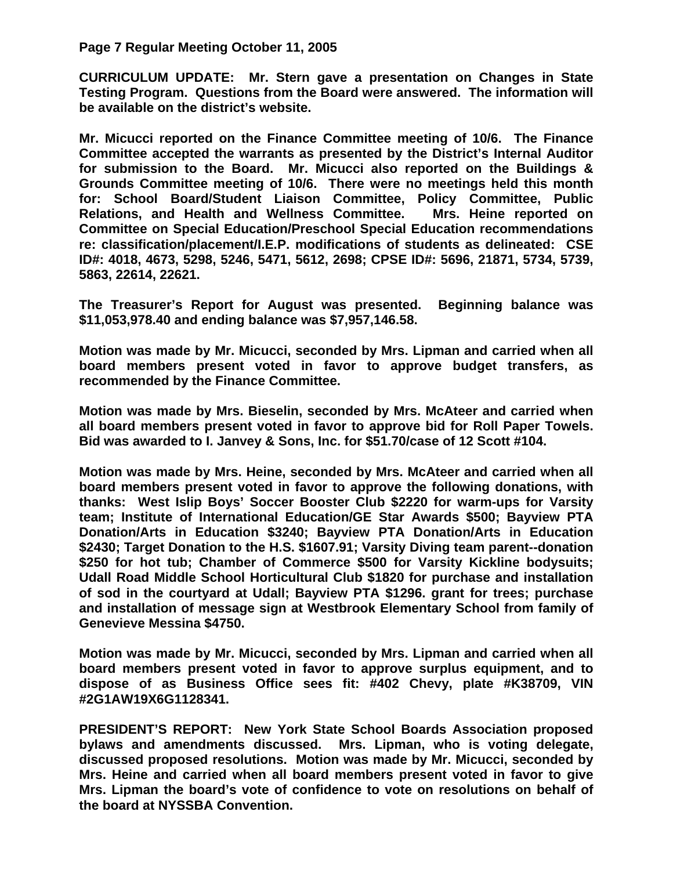## **Page 7 Regular Meeting October 11, 2005**

**CURRICULUM UPDATE: Mr. Stern gave a presentation on Changes in State Testing Program. Questions from the Board were answered. The information will be available on the district's website.** 

**Mr. Micucci reported on the Finance Committee meeting of 10/6. The Finance Committee accepted the warrants as presented by the District's Internal Auditor for submission to the Board. Mr. Micucci also reported on the Buildings & Grounds Committee meeting of 10/6. There were no meetings held this month for: School Board/Student Liaison Committee, Policy Committee, Public Relations, and Health and Wellness Committee. Mrs. Heine reported on Committee on Special Education/Preschool Special Education recommendations re: classification/placement/I.E.P. modifications of students as delineated: CSE ID#: 4018, 4673, 5298, 5246, 5471, 5612, 2698; CPSE ID#: 5696, 21871, 5734, 5739, 5863, 22614, 22621.** 

**The Treasurer's Report for August was presented. Beginning balance was \$11,053,978.40 and ending balance was \$7,957,146.58.** 

**Motion was made by Mr. Micucci, seconded by Mrs. Lipman and carried when all board members present voted in favor to approve budget transfers, as recommended by the Finance Committee.** 

**Motion was made by Mrs. Bieselin, seconded by Mrs. McAteer and carried when all board members present voted in favor to approve bid for Roll Paper Towels. Bid was awarded to I. Janvey & Sons, Inc. for \$51.70/case of 12 Scott #104.** 

**Motion was made by Mrs. Heine, seconded by Mrs. McAteer and carried when all board members present voted in favor to approve the following donations, with thanks: West Islip Boys' Soccer Booster Club \$2220 for warm-ups for Varsity team; Institute of International Education/GE Star Awards \$500; Bayview PTA Donation/Arts in Education \$3240; Bayview PTA Donation/Arts in Education \$2430; Target Donation to the H.S. \$1607.91; Varsity Diving team parent--donation \$250 for hot tub; Chamber of Commerce \$500 for Varsity Kickline bodysuits; Udall Road Middle School Horticultural Club \$1820 for purchase and installation of sod in the courtyard at Udall; Bayview PTA \$1296. grant for trees; purchase and installation of message sign at Westbrook Elementary School from family of Genevieve Messina \$4750.** 

**Motion was made by Mr. Micucci, seconded by Mrs. Lipman and carried when all board members present voted in favor to approve surplus equipment, and to dispose of as Business Office sees fit: #402 Chevy, plate #K38709, VIN #2G1AW19X6G1128341.** 

**PRESIDENT'S REPORT: New York State School Boards Association proposed bylaws and amendments discussed. Mrs. Lipman, who is voting delegate, discussed proposed resolutions. Motion was made by Mr. Micucci, seconded by Mrs. Heine and carried when all board members present voted in favor to give Mrs. Lipman the board's vote of confidence to vote on resolutions on behalf of the board at NYSSBA Convention.**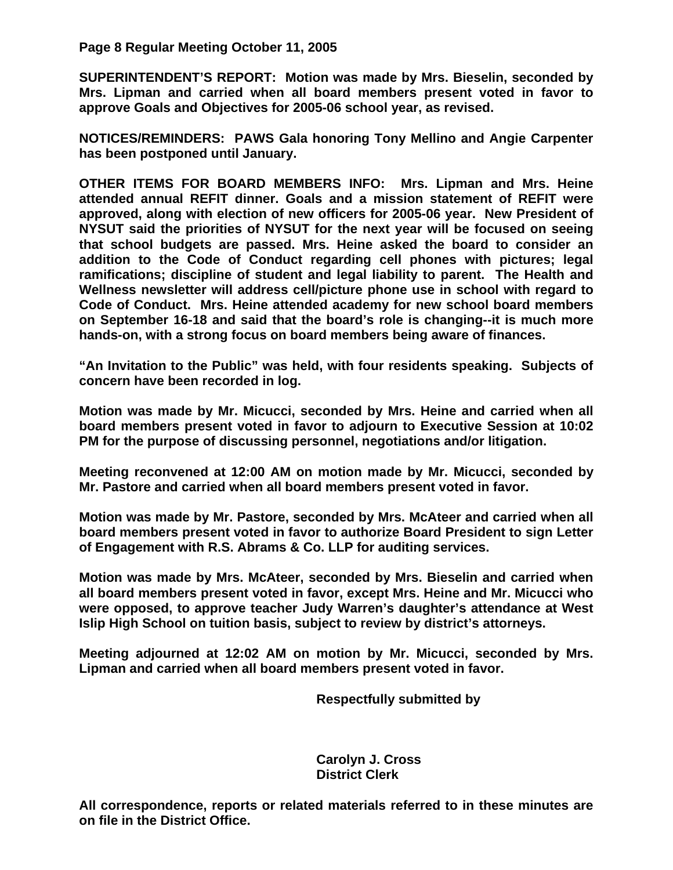**Page 8 Regular Meeting October 11, 2005** 

**SUPERINTENDENT'S REPORT: Motion was made by Mrs. Bieselin, seconded by Mrs. Lipman and carried when all board members present voted in favor to approve Goals and Objectives for 2005-06 school year, as revised.** 

**NOTICES/REMINDERS: PAWS Gala honoring Tony Mellino and Angie Carpenter has been postponed until January.** 

**OTHER ITEMS FOR BOARD MEMBERS INFO: Mrs. Lipman and Mrs. Heine attended annual REFIT dinner. Goals and a mission statement of REFIT were approved, along with election of new officers for 2005-06 year. New President of NYSUT said the priorities of NYSUT for the next year will be focused on seeing that school budgets are passed. Mrs. Heine asked the board to consider an addition to the Code of Conduct regarding cell phones with pictures; legal ramifications; discipline of student and legal liability to parent. The Health and Wellness newsletter will address cell/picture phone use in school with regard to Code of Conduct. Mrs. Heine attended academy for new school board members on September 16-18 and said that the board's role is changing--it is much more hands-on, with a strong focus on board members being aware of finances.** 

**"An Invitation to the Public" was held, with four residents speaking. Subjects of concern have been recorded in log.** 

**Motion was made by Mr. Micucci, seconded by Mrs. Heine and carried when all board members present voted in favor to adjourn to Executive Session at 10:02 PM for the purpose of discussing personnel, negotiations and/or litigation.** 

**Meeting reconvened at 12:00 AM on motion made by Mr. Micucci, seconded by Mr. Pastore and carried when all board members present voted in favor.** 

**Motion was made by Mr. Pastore, seconded by Mrs. McAteer and carried when all board members present voted in favor to authorize Board President to sign Letter of Engagement with R.S. Abrams & Co. LLP for auditing services.** 

**Motion was made by Mrs. McAteer, seconded by Mrs. Bieselin and carried when all board members present voted in favor, except Mrs. Heine and Mr. Micucci who were opposed, to approve teacher Judy Warren's daughter's attendance at West Islip High School on tuition basis, subject to review by district's attorneys.** 

**Meeting adjourned at 12:02 AM on motion by Mr. Micucci, seconded by Mrs. Lipman and carried when all board members present voted in favor.** 

 **Respectfully submitted by** 

 **Carolyn J. Cross District Clerk** 

**All correspondence, reports or related materials referred to in these minutes are on file in the District Office.**